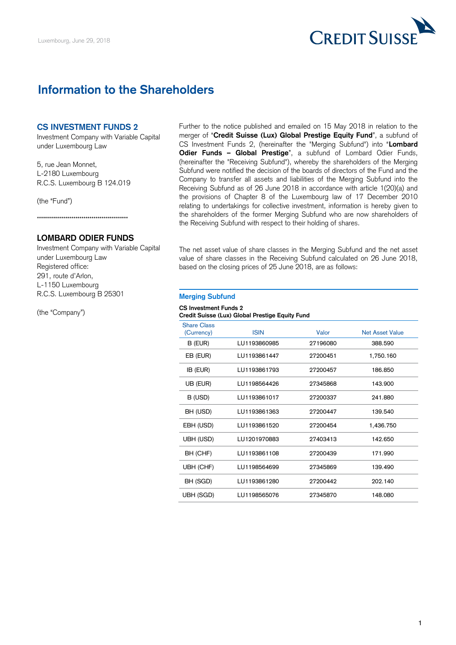

# **Information to the Shareholders**

#### **CS INVESTMENT FUNDS 2**

Investment Company with Variable Capital under Luxembourg Law

5, rue Jean Monnet, L-2180 Luxembourg R.C.S. Luxembourg B 124.019

(the "Fund")

\*\*\*\*\*\*\*\*\*\*\*\*\*\*\*\*\*\*\*\*\*\*\*\*\*\*\*\*\*\*\*\*\*\*\*\*\*\*\*\*\*\*\*\*\*

### **LOMBARD ODIER FUNDS**

Investment Company with Variable Capital under Luxembourg Law Registered office: 291, route d'Arlon, L-1150 Luxembourg R.C.S. Luxembourg B 25301

(the "Company")

Further to the notice published and emailed on 15 May 2018 in relation to the merger of "**Credit Suisse (Lux) Global Prestige Equity Fund**", a subfund of CS Investment Funds 2, (hereinafter the "Merging Subfund") into "**Lombard Odier Funds – Global Prestige**", a subfund of Lombard Odier Funds, (hereinafter the "Receiving Subfund"), whereby the shareholders of the Merging Subfund were notified the decision of the boards of directors of the Fund and the Company to transfer all assets and liabilities of the Merging Subfund into the Receiving Subfund as of 26 June 2018 in accordance with article 1(20)(a) and the provisions of Chapter 8 of the Luxembourg law of 17 December 2010 relating to undertakings for collective investment, information is hereby given to the shareholders of the former Merging Subfund who are now shareholders of the Receiving Subfund with respect to their holding of shares.

The net asset value of share classes in the Merging Subfund and the net asset value of share classes in the Receiving Subfund calculated on 26 June 2018, based on the closing prices of 25 June 2018, are as follows:

## **Merging Subfund**

#### **CS Investment Funds 2 Credit Suisse (Lux) Global Prestige Equity Fund**

| <b>Share Class</b><br>(Currency) | <b>ISIN</b>  | Valor    | <b>Net Asset Value</b> |
|----------------------------------|--------------|----------|------------------------|
| B (EUR)                          | LU1193860985 | 27196080 | 388,590                |
| EB (EUR)                         | LU1193861447 | 27200451 | 1,750.160              |
| IB (EUR)                         | LU1193861793 | 27200457 | 186,850                |
| UB (EUR)                         | LU1198564426 | 27345868 | 143.900                |
| B (USD)                          | LU1193861017 | 27200337 | 241.880                |
| BH (USD)                         | LU1193861363 | 27200447 | 139.540                |
| EBH (USD)                        | LU1193861520 | 27200454 | 1,436.750              |
| UBH (USD)                        | LU1201970883 | 27403413 | 142.650                |
| BH (CHF)                         | LU1193861108 | 27200439 | 171.990                |
| UBH (CHF)                        | LU1198564699 | 27345869 | 139.490                |
| BH (SGD)                         | LU1193861280 | 27200442 | 202.140                |
| UBH (SGD)                        | LU1198565076 | 27345870 | 148.080                |